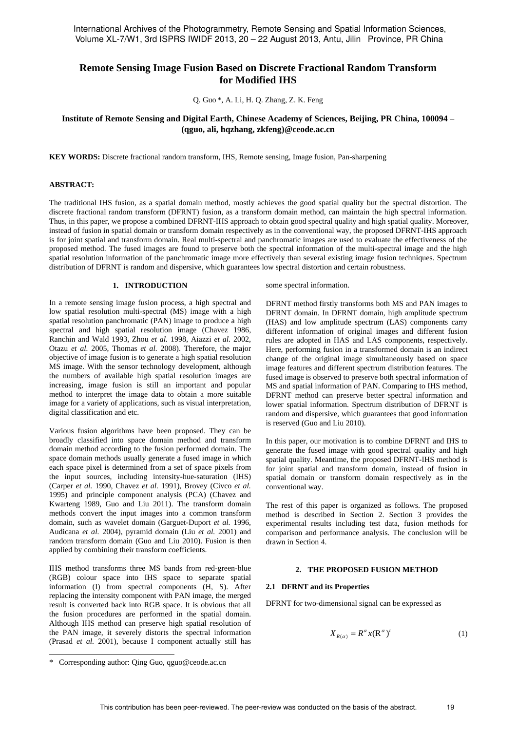International Archives of the Photogrammetry, Remote Sensing and Spatial Information Sciences, Volume XL-7/W1, 3rd ISPRS IWIDF 2013, 20 – 22 August 2013, Antu, Jilin Province, PR China

# **Remote Sensing Image Fusion Based on Discrete Fractional Random Transform for Modified IHS**

Q. Guo \*, A. Li, H. Q. Zhang, Z. K. Feng

## **Institute of Remote Sensing and Digital Earth, Chinese Academy of Sciences, Beijing, PR China, 100094** – **(qguo, ali, hqzhang, zkfeng)@ceode.ac.cn**

**KEY WORDS:** Discrete fractional random transform, IHS, Remote sensing, Image fusion, Pan-sharpening

### **ABSTRACT:**

The traditional IHS fusion, as a spatial domain method, mostly achieves the good spatial quality but the spectral distortion. The discrete fractional random transform (DFRNT) fusion, as a transform domain method, can maintain the high spectral information. Thus, in this paper, we propose a combined DFRNT-IHS approach to obtain good spectral quality and high spatial quality. Moreover, instead of fusion in spatial domain or transform domain respectively as in the conventional way, the proposed DFRNT-IHS approach is for joint spatial and transform domain. Real multi-spectral and panchromatic images are used to evaluate the effectiveness of the proposed method. The fused images are found to preserve both the spectral information of the multi-spectral image and the high spatial resolution information of the panchromatic image more effectively than several existing image fusion techniques. Spectrum distribution of DFRNT is random and dispersive, which guarantees low spectral distortion and certain robustness.

#### **1. INTRODUCTION**

In a remote sensing image fusion process, a high spectral and low spatial resolution multi-spectral (MS) image with a high spatial resolution panchromatic (PAN) image to produce a high spectral and high spatial resolution image (Chavez 1986, Ranchin and Wald 1993, Zhou *et al.* 1998, Aiazzi *et al.* 2002, Otazu *et al.* 2005, Thomas *et al.* 2008). Therefore, the major objective of image fusion is to generate a high spatial resolution MS image. With the sensor technology development, although the numbers of available high spatial resolution images are increasing, image fusion is still an important and popular method to interpret the image data to obtain a more suitable image for a variety of applications, such as visual interpretation, digital classification and etc.

Various fusion algorithms have been proposed. They can be broadly classified into space domain method and transform domain method according to the fusion performed domain. The space domain methods usually generate a fused image in which each space pixel is determined from a set of space pixels from the input sources, including intensity-hue-saturation (IHS) (Carper *et al.* 1990, Chavez *et al.* 1991), Brovey (Civco *et al.* 1995) and principle component analysis (PCA) (Chavez and Kwarteng 1989, Guo and Liu 2011). The transform domain methods convert the input images into a common transform domain, such as wavelet domain (Garguet-Duport *et al.* 1996, Audicana *et al.* 2004), pyramid domain (Liu *et al.* 2001) and random transform domain (Guo and Liu 2010). Fusion is then applied by combining their transform coefficients.

IHS method transforms three MS bands from red-green-blue (RGB) colour space into IHS space to separate spatial information (I) from spectral components (H, S). After replacing the intensity component with PAN image, the merged result is converted back into RGB space. It is obvious that all the fusion procedures are performed in the spatial domain. Although IHS method can preserve high spatial resolution of the PAN image, it severely distorts the spectral information (Prasad *et al.* 2001), because I component actually still has

some spectral information.

DFRNT method firstly transforms both MS and PAN images to DFRNT domain. In DFRNT domain, high amplitude spectrum (HAS) and low amplitude spectrum (LAS) components carry different information of original images and different fusion rules are adopted in HAS and LAS components, respectively. Here, performing fusion in a transformed domain is an indirect change of the original image simultaneously based on space image features and different spectrum distribution features. The fused image is observed to preserve both spectral information of MS and spatial information of PAN. Comparing to IHS method, DFRNT method can preserve better spectral information and lower spatial information. Spectrum distribution of DFRNT is random and dispersive, which guarantees that good information is reserved (Guo and Liu 2010).

In this paper, our motivation is to combine DFRNT and IHS to generate the fused image with good spectral quality and high spatial quality. Meantime, the proposed DFRNT-IHS method is for joint spatial and transform domain, instead of fusion in spatial domain or transform domain respectively as in the conventional way.

The rest of this paper is organized as follows. The proposed method is described in Section 2. Section 3 provides the experimental results including test data, fusion methods for comparison and performance analysis. The conclusion will be drawn in Section 4.

#### **2. THE PROPOSED FUSION METHOD**

#### **2.1 DFRNT and its Properties**

DFRNT for two-dimensional signal can be expressed as

$$
X_{R(\alpha)} = R^{\alpha} x (R^{\alpha})^t \tag{1}
$$

1

<sup>\*</sup> Corresponding author: Qing Guo, qguo@ceode.ac.cn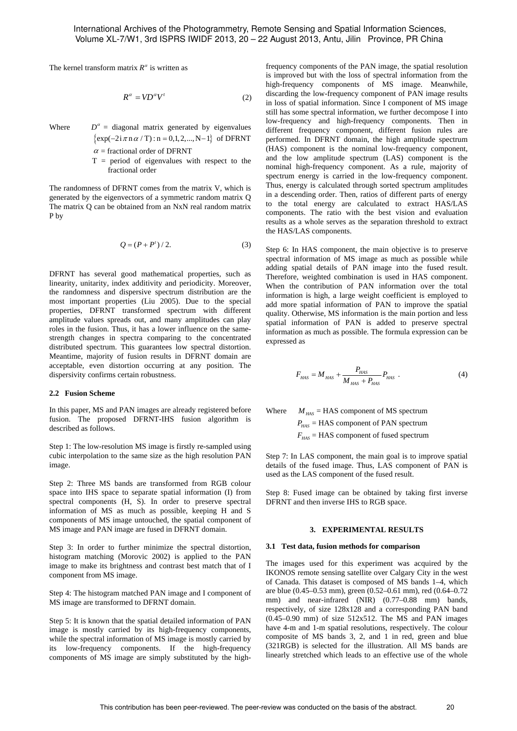The kernel transform matrix  $R^{\alpha}$  is written as

$$
R^{\alpha} = V D^{\alpha} V^t \tag{2}
$$

Where  $D^{\alpha}$  = diagonal matrix generated by eigenvalues  $\{\exp(-2i\pi n \alpha / T) : n = 0,1,2,..., N-1\}$  of DFRNT

- $\alpha$  = fractional order of DFRNT
- $T =$  period of eigenvalues with respect to the fractional order

The randomness of DFRNT comes from the matrix V, which is generated by the eigenvectors of a symmetric random matrix Q The matrix Q can be obtained from an NxN real random matrix P by

$$
Q = (P + P') / 2.
$$
 (3)

DFRNT has several good mathematical properties, such as linearity, unitarity, index additivity and periodicity. Moreover, the randomness and dispersive spectrum distribution are the most important properties (Liu 2005). Due to the special properties, DFRNT transformed spectrum with different amplitude values spreads out, and many amplitudes can play roles in the fusion. Thus, it has a lower influence on the samestrength changes in spectra comparing to the concentrated distributed spectrum. This guarantees low spectral distortion. Meantime, majority of fusion results in DFRNT domain are acceptable, even distortion occurring at any position. The dispersivity confirms certain robustness.

#### **2.2 Fusion Scheme**

In this paper, MS and PAN images are already registered before fusion. The proposed DFRNT-IHS fusion algorithm is described as follows.

Step 1: The low-resolution MS image is firstly re-sampled using cubic interpolation to the same size as the high resolution PAN image.

Step 2: Three MS bands are transformed from RGB colour space into IHS space to separate spatial information (I) from spectral components (H, S). In order to preserve spectral information of MS as much as possible, keeping H and S components of MS image untouched, the spatial component of MS image and PAN image are fused in DFRNT domain.

Step 3: In order to further minimize the spectral distortion, histogram matching (Morovic 2002) is applied to the PAN image to make its brightness and contrast best match that of I component from MS image.

Step 4: The histogram matched PAN image and I component of MS image are transformed to DFRNT domain.

Step 5: It is known that the spatial detailed information of PAN image is mostly carried by its high-frequency components, while the spectral information of MS image is mostly carried by its low-frequency components. If the high-frequency components of MS image are simply substituted by the highfrequency components of the PAN image, the spatial resolution is improved but with the loss of spectral information from the high-frequency components of MS image. Meanwhile, discarding the low-frequency component of PAN image results in loss of spatial information. Since I component of MS image still has some spectral information, we further decompose I into low-frequency and high-frequency components. Then in different frequency component, different fusion rules are performed. In DFRNT domain, the high amplitude spectrum (HAS) component is the nominal low-frequency component, and the low amplitude spectrum (LAS) component is the nominal high-frequency component. As a rule, majority of spectrum energy is carried in the low-frequency component. Thus, energy is calculated through sorted spectrum amplitudes in a descending order. Then, ratios of different parts of energy to the total energy are calculated to extract HAS/LAS components. The ratio with the best vision and evaluation results as a whole serves as the separation threshold to extract the HAS/LAS components.

Step 6: In HAS component, the main objective is to preserve spectral information of MS image as much as possible while adding spatial details of PAN image into the fused result. Therefore, weighted combination is used in HAS component. When the contribution of PAN information over the total information is high, a large weight coefficient is employed to add more spatial information of PAN to improve the spatial quality. Otherwise, MS information is the main portion and less spatial information of PAN is added to preserve spectral information as much as possible. The formula expression can be expressed as

$$
F_{HAS} = M_{HAS} + \frac{P_{HAS}}{M_{HAS} + P_{HAS}} P_{HAS} \tag{4}
$$

Where  $M_{HAS}$  = HAS component of MS spectrum  $P_{\mu_{AS}}$  = HAS component of PAN spectrum

 $F_{\mu\alpha s}$  = HAS component of fused spectrum

Step 7: In LAS component, the main goal is to improve spatial details of the fused image. Thus, LAS component of PAN is used as the LAS component of the fused result.

Step 8: Fused image can be obtained by taking first inverse DFRNT and then inverse IHS to RGB space.

## **3. EXPERIMENTAL RESULTS**

#### **3.1 Test data, fusion methods for comparison**

The images used for this experiment was acquired by the IKONOS remote sensing satellite over Calgary City in the west of Canada. This dataset is composed of MS bands 1–4, which are blue (0.45–0.53 mm), green (0.52–0.61 mm), red (0.64–0.72 mm) and near-infrared (NIR) (0.77–0.88 mm) bands, respectively, of size 128x128 and a corresponding PAN band  $(0.45-0.90$  mm) of size  $512x512$ . The MS and PAN images have 4-m and 1-m spatial resolutions, respectively. The colour composite of MS bands 3, 2, and 1 in red, green and blue (321RGB) is selected for the illustration. All MS bands are linearly stretched which leads to an effective use of the whole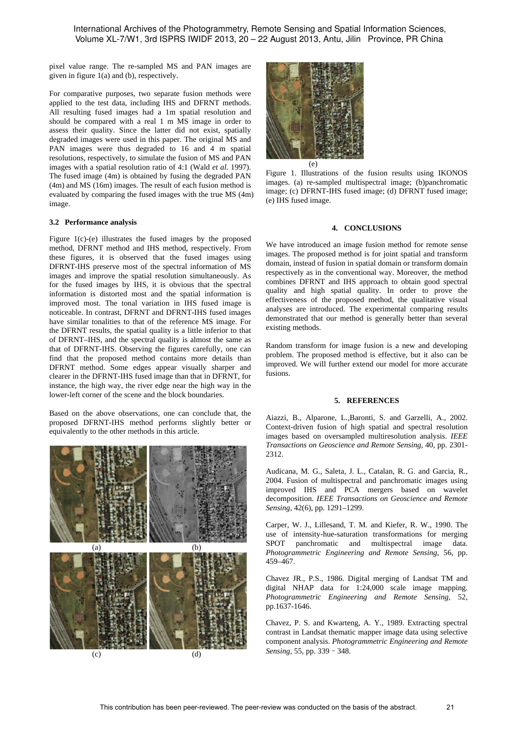International Archives of the Photogrammetry, Remote Sensing and Spatial Information Sciences, Volume XL-7/W1, 3rd ISPRS IWIDF 2013, 20 – 22 August 2013, Antu, Jilin Province, PR China

pixel value range. The re-sampled MS and PAN images are given in figure 1(a) and (b), respectively.

For comparative purposes, two separate fusion methods were applied to the test data, including IHS and DFRNT methods. All resulting fused images had a 1m spatial resolution and should be compared with a real 1 m MS image in order to assess their quality. Since the latter did not exist, spatially degraded images were used in this paper. The original MS and PAN images were thus degraded to 16 and 4 m spatial resolutions, respectively, to simulate the fusion of MS and PAN images with a spatial resolution ratio of 4:1 (Wald *et al.* 1997). The fused image (4m) is obtained by fusing the degraded PAN (4m) and MS (16m) images. The result of each fusion method is evaluated by comparing the fused images with the true MS (4m) image.

## **3.2 Performance analysis**

Figure 1(c)-(e) illustrates the fused images by the proposed method, DFRNT method and IHS method, respectively. From these figures, it is observed that the fused images using DFRNT-IHS preserve most of the spectral information of MS images and improve the spatial resolution simultaneously. As for the fused images by IHS, it is obvious that the spectral information is distorted most and the spatial information is improved most. The tonal variation in IHS fused image is noticeable. In contrast, DFRNT and DFRNT-IHS fused images have similar tonalities to that of the reference MS image. For the DFRNT results, the spatial quality is a little inferior to that of DFRNT–IHS, and the spectral quality is almost the same as that of DFRNT-IHS. Observing the figures carefully, one can find that the proposed method contains more details than DFRNT method. Some edges appear visually sharper and clearer in the DFRNT-IHS fused image than that in DFRNT, for instance, the high way, the river edge near the high way in the lower-left corner of the scene and the block boundaries.

Based on the above observations, one can conclude that, the proposed DFRNT-IHS method performs slightly better or equivalently to the other methods in this article.





(e)

Figure 1. Illustrations of the fusion results using IKONOS images. (a) re-sampled multispectral image; (b)panchromatic image; (c) DFRNT-IHS fused image; (d) DFRNT fused image; (e) IHS fused image.

## **4. CONCLUSIONS**

We have introduced an image fusion method for remote sense images. The proposed method is for joint spatial and transform domain, instead of fusion in spatial domain or transform domain respectively as in the conventional way. Moreover, the method combines DFRNT and IHS approach to obtain good spectral quality and high spatial quality. In order to prove the effectiveness of the proposed method, the qualitative visual analyses are introduced. The experimental comparing results demonstrated that our method is generally better than several existing methods.

Random transform for image fusion is a new and developing problem. The proposed method is effective, but it also can be improved. We will further extend our model for more accurate fusions.

#### **5. REFERENCES**

Aiazzi, B., Alparone, L.,Baronti, S. and Garzelli, A., 2002. Context-driven fusion of high spatial and spectral resolution images based on oversampled multiresolution analysis. *IEEE Transactions on Geoscience and Remote Sensing*, 40, pp. 2301- 2312.

Audicana, M. G., Saleta, J. L., Catalan, R. G. and Garcia, R., 2004. Fusion of multispectral and panchromatic images using improved IHS and PCA mergers based on wavelet decomposition. *IEEE Transactions on Geoscience and Remote Sensing*, 42(6), pp. 1291–1299.

Carper, W. J., Lillesand, T. M. and Kiefer, R. W., 1990. The use of intensity-hue-saturation transformations for merging SPOT panchromatic and multispectral image data. *Photogrammetric Engineering and Remote Sensing*, 56, pp. 459–467.

Chavez JR., P.S., 1986. Digital merging of Landsat TM and digital NHAP data for 1:24,000 scale image mapping. *Photogrammetric Engineering and Remote Sensing*, 52, pp.1637-1646.

Chavez, P. S. and Kwarteng, A. Y., 1989. Extracting spectral contrast in Landsat thematic mapper image data using selective component analysis. *Photogrammetric Engineering and Remote Sensing,* 55, pp. 339–348.